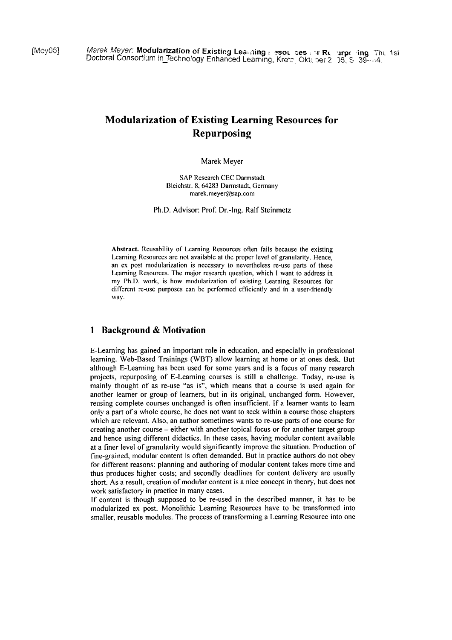# **Modularization of Existing Learning Resources for Repurposing**

#### Marek Meyer

SAP Research CEC Darmstadt Bleichstr. 8,64283 Darmstadt, Germany marek.meyer@sap.com

Ph.D. Advisor: Prof. Dr.-lng. Ralf Steinmetz

Abstract. Reusability of Learning Resources often fails because the existing Learning Resources are not available at the proper level of granularity. Hence, an ex post modularization is necessary to nevertheless re-use parts of these Learning Resources. The major research question, which I want to address in my Ph.D. work, is how modularization of existing Learning Resources for different re-use purposes can be performed eficiently and in a user-friendly way.

### **1 Background** & **Motivation**

E-Learning has gained an important role in education, and especially in professional learning. Web-Based Trainings (WBT) allow learning at home or at ones desk. But although E-Learning has been used for some years and is a focus of many research projects, repurposing of E-Learning courses is still a challenge. Today, re-use is mainly thought of as re-use "as is", which means that a course is used again for another learner or group of learners, but in its original, unchanged form. However, reusing complete courses unchanged is often insufficient. If a learner wants to learn only a part of a whole course, he does not Want to seek within a course those chapters which are relevant. Also, an author sometimes wants to re-use parts of one course for creating another course - either with another topical focus or for another target group and hence using different didactics. In these cases, having modular content available at a finer level of granularity would significantly improve the situation. Production of fine-grained, modular content is often demanded. But in practice authors do not obey for different reasons: planning and authoring of modular content takes more time and thus produces higher costs; and secondly deadlines for content delivery are usually short. As a result, creation of modular content is a nice concept in theory, but does not work satisfactory in practice in many cases.

If content is though supposed to be re-used in the described manner, it has to be modularized ex post. Monolithic Learning Resources have to be transformed into smaller, reusable modules. The process of transforming a Learning Resource into one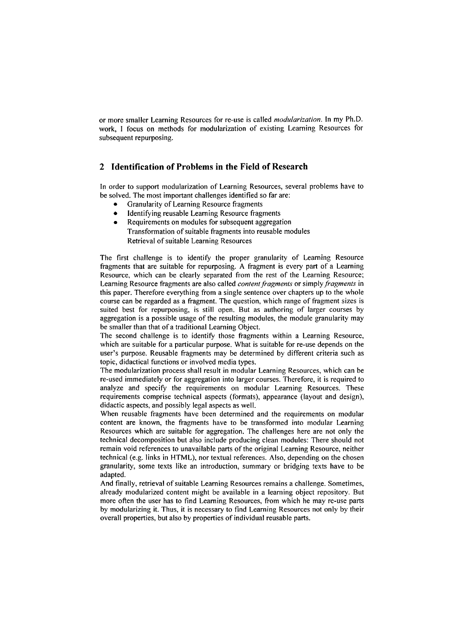or more smaller Learning Resources for re-use is called *modularization.* In my Ph.D. work, I focus on methods for modularization of existing Learning Resources for subsequent repurposing.

### **2 Identification of Problems in the Field of Research**

In order to support modularization of Learning Resources, several problems have to be solved. The most important challenges identified so far are:

- Granularity of Learning Resource fragments  $\bullet$
- ldentifying reusable Learning Resource fiagments  $\bullet$
- $\bullet$ Requirements on modules for subsequent aggregation Transformation of suitable fragments into reusable modules Retrieval of suitable Learning Resources

The first challenge is to identify the proper granularity of Learning Resource fragments that are suitable for repurposing. A fragment is every part of a Learning Resource, which can be clearly separated from the rest of the Learning Resource; Learning Resource fragments are also called *contentfragmenfs* or simply *fragmenls* in this paper. Therefore everything from a single sentence over chapters up to the whole course can be regarded as a fragment. The question, which range of fragment sizes is suited best for repurposing, is still open. But as authoring of larger courses by aggregation is a possible usage of the resulting modules, the module granularity may be smaller than that of a traditional Learning Object.

The second challenge is to identify those fragments within a Learning Resource, which are suitable for a particular purpose. What is suitable for re-use depends on the user's purpose. Reusable fragments may be determined by different criteria such as topic, didactical functions or involved media types.

The modularization process shall result in modular Learning Resources, which can be re-used immediately or for aggregation into larger courses. Therefore, it is required to analyze and specify the requirements on modular Learning Resources. These requirements comprise technical aspects (formats), appearance (layout and design), didactic aspects, and possibly legal aspects as well.

When reusable fragments have been determined and the requirements on modular content are known, the fragments have to be transformed into modular Learning Resources which are suitable for aggregation. The challenges here are not only the technical decomposition but also include producing clean modules: There should not remain void references to unavailable parts of the original Learning Resource, neither technical (e.g. links in HTML), nor textual references. Also, depending on the chosen granularity, some texts like an introduction, Summary or bridging texts have to be adapted.

And finally, retrieval of suitable Leaming Resources remains a challenge. Sometimes, already modularized content might be available in a learning object repository. But more often the user has to find Learning Resources, from which he may re-use parts by modularizing it. Thus, it is necessary to find Learning Resources not only by their overall properties, but also by properties of individual reusable parts.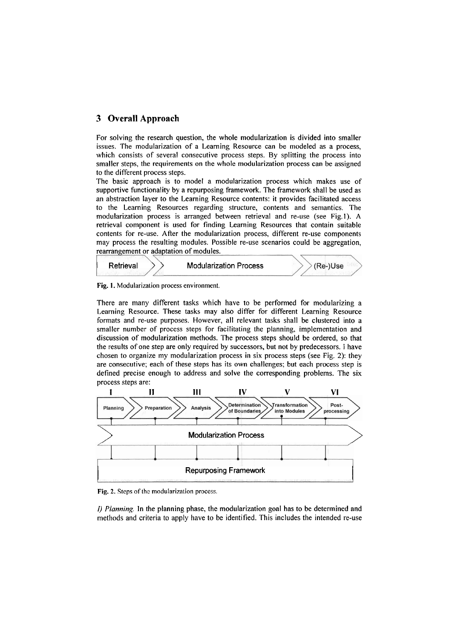# **3 Overall Approach**

For solving the research question, the whole modularization is divided into smaller issues. The modularization of a Learning Resource can be modeled as a process, which consists of several consecutive process steps. By splitting the process into smaller steps, the requirements on the whole modularization process can be assigned to the different process steps.

The basic approach is to model a modularization process which makes use of supportive functionality by a repurposing framework. The framework shall be used as an abstraction layer to the Learning Resource contents: it provides facilitated access to the Learning Resources regarding structure, contents and semantics. The modularization process is arranged between retrieval and re-use (see Fig.1). A retrieval component is used for finding Learning Resources that contain suitable contents for re-use. After the modularization process, different re-use components may process the resulting modules. Possible re-use scenarios could be aggregation, rearrangement or adaptation of modules.



**Fig. 1.** Modularization process environment.

There are many different tasks which have to be performed for modularizing a Learning Resource. These tasks may also differ for different Learning Resource formats and re-use purposes. However, all relevant tasks shall be clustered into a smaller number of process steps for facilitating the planning, implementation and discussion of modularization methods. The process steps should be ordered, so that the results of one step are only required by successors, but not by predecessors. I have chosen to organize my modularization process in six process steps (see Fig. 2): they are consecutive; each of these steps has its own challenges; but each process step is defined precise enough to address and solve the corresponding problems. The six process steps are:



**Fig. 2.** Steps of thc modularization process.

I) **Planning.** In the planning phase, the modularization goal has to be determined and methods and criteria to apply have to be identified. This includes the intended re-use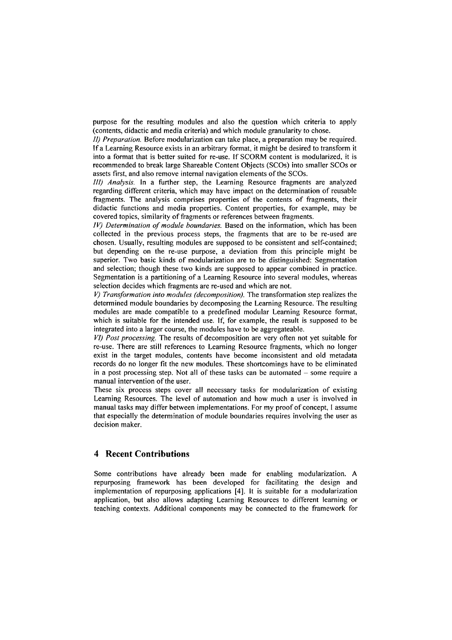purpose for the resulting modules and also the question which criteria to apply (contents, didactic and media criteria) and which module granularity to chose.

*II) Preparation.* Before modularization can take place, a preparation may be required. If a Learning Resource exists in an arbitrary format, it might be desired to transform it into a format that is better suited for re-use. If SCORM content is modularized, it is recommended to break large Shareable Content Objects (SCOs) into smaller SCOs or assets first, and also remove internal navigation elements of the SCOs.

111) *Analysis.* In a further step, the Learning Resource fragments are analyzed regarding different criteria, which may have impact on the determination of reusable fragments. The analysis comprises properties of the contents of fragments, their didactic functions and media properties. Content properties, for example, may be covered topics, similarity of fragments or references between fragments.

*IV)* Determination of module boundaries. Based on the information, which has been collected in the previous process steps, the fragments that are to be re-used are chosen. Usually, resulting modules are supposed to be consistent and self-contained; but depending on the re-use purpose, a deviation from this principle might be superior. Two basic kinds of modularization are to be distinguished: Segmentation and selection; though these two kinds are supposed to appear combined in practice. Segmentation is a partitioning of a Learning Resource into several modules, whereas selection decides which fragments are re-used and which are not.

*V) Transformation into modules (decomposition).* The transforination step realizes the determined module boundaries by decomposing the Learning Resource. The resulting modules are made compatible to a predefined modular Learning Resource format, which is suitable for the intended use. If, for example, the result is supposed to be integrated into a larger Course, the modules have to be aggregateable.

*VI) Post processing.* The results of decomposition are very often not yet suitable for re-use. There are still references to Learning Resource fragments, which no longer exist in the target modules, contents have become inconsistent and old metadata records do no longer fit the new modules. These shortcomings have to be eliminated in a post processing step. Not all of these tasks can be automated  $-$  some require a manual intervention of the user.

These six process steps cover all necessary tasks for modularization of existing Learning Resources. The level of automation and how much a user is involved in manual tasks may differ between implementations. For my proof of concept, I assume that especially the determination of module boundaries requires involving the user as decision maker.

# **4 Recent Contributions**

Some contributions have already been made for enabling modularization. **A**  repurposing framework has been developed for facilitating the design and implementation of repurposing applications **[4].** It is suitable for a modularization application, but also allows adapting Learning Resources to different learning or teaching contexts. Additional components may be connected to the framework for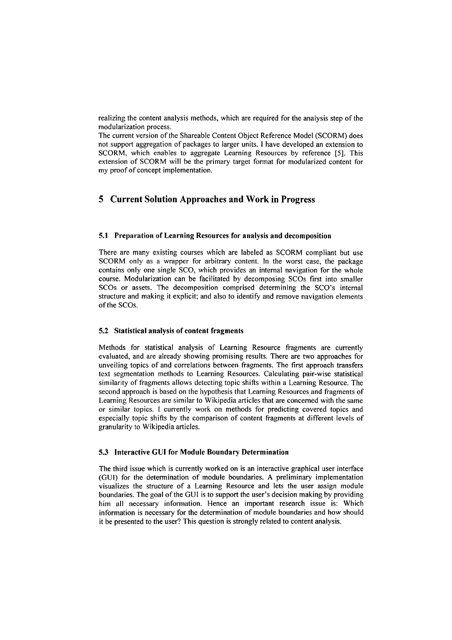realizing the content analysis methods, which are required for the analysis step of the modularization process.

The current version of the Shareable Content Object Reference Model (SCORM) does not support aggegation of packages to larger units. 1 have developed an extension to SCORM, which enables to aggregate Learning Resources by reference *[5].* This extension of SCORM will be the primary target format for modularized content for iny proof of concept implementation.

# **5 Current Solution Approaches and Work in Progress**

#### 5.1 Preparation of Learning Resources for analysis and decomposition

There are many existing courses which are labeled as SCORM compliant but use SCORM only as a wrapper for arbitrary content. In the worst case, the package contains only one single SCO, which provides an internal navigation for the whole course. Modularization can be facilitated by decomposing SCOs first into smaller SCOs or assets. The decomposition comprised determining the SCO's internal structure and making it explicit; and also to identify and remove navigation elements of the SCOs.

#### 5.2 Statistical analysis of content fragments

Methods for statistical analysis of Learning Resource fragments are currently evaluated, and are already showing promising results. There are two approaches for unveiling topics of and correlations between fragments. The first approach transfers text segmentation methods to Learning Resources. Calculating pair-wise statistical similarity of fragments allows detecting topic shifts within a Learning Resource. The second approach is based on the hypothesis that Learning Resources and fragments of Learning Resources are similar to Wikipedia articles that are concemed with the Same or similar topics. I currently work on methods for predicting covered topics and especially topic shifts by the comparison of content fragments at different levels of granularity to Wikipedia articles.

#### 5.3 Interactive GUI for Module Boundary Determination

The third issue which is currently worked on is an interactive graphical user interface (GUI) for the determination of module boundaries. **A** preliminary implementation visualizes the structure of a Learning Resource and lets the user assign module boundaries. The goal of the GUI is to support the user's decision making by providing him all necessary infonnation. Hence an important research issue is: Which information is necessary for the determination of module boundaries and how should it be presented to the user? This question is strongly related to content analysis.